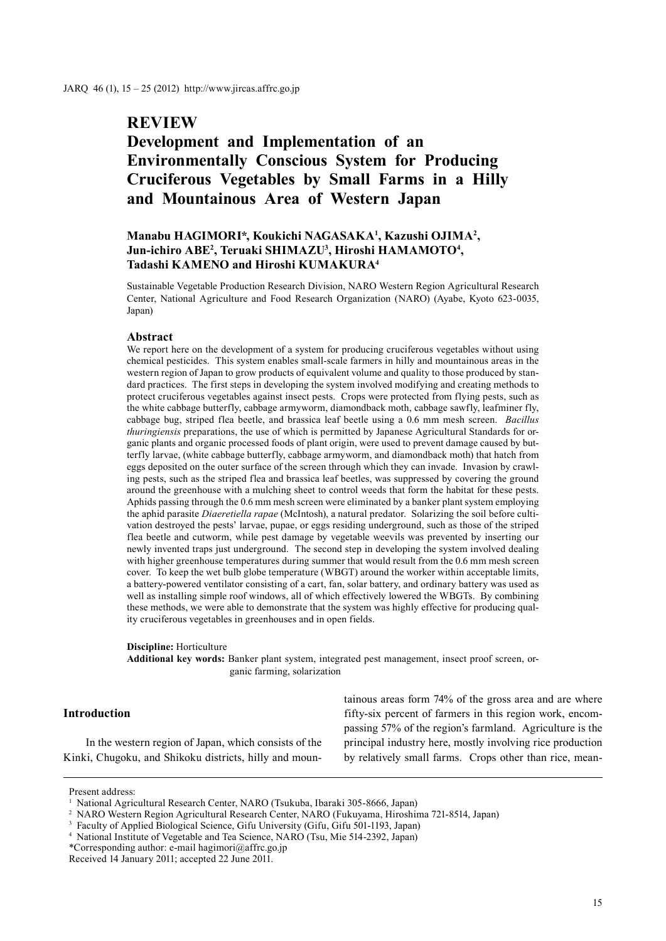# **REVIEW**

# **Development and Implementation of an Environmentally Conscious System for Producing Cruciferous Vegetables by Small Farms in a Hilly and Mountainous Area of Western Japan**

# **Manabu HAGIMORI\*, Koukichi NAGASAKA1 , Kazushi OJIMA2 , Jun-ichiro ABE2 , Teruaki SHIMAZU3 , Hiroshi HAMAMOTO4 , Tadashi KAMENO and Hiroshi KUMAKURA4**

Sustainable Vegetable Production Research Division, NARO Western Region Agricultural Research Center, National Agriculture and Food Research Organization (NARO) (Ayabe, Kyoto 623-0035, Japan)

# **Abstract**

We report here on the development of a system for producing cruciferous vegetables without using chemical pesticides. This system enables small-scale farmers in hilly and mountainous areas in the western region of Japan to grow products of equivalent volume and quality to those produced by standard practices. The first steps in developing the system involved modifying and creating methods to protect cruciferous vegetables against insect pests. Crops were protected from flying pests, such as the white cabbage butterfly, cabbage armyworm, diamondback moth, cabbage sawfly, leafminer fly, cabbage bug, striped flea beetle, and brassica leaf beetle using a 0.6 mm mesh screen. *Bacillus thuringiensis* preparations, the use of which is permitted by Japanese Agricultural Standards for organic plants and organic processed foods of plant origin, were used to prevent damage caused by butterfly larvae, (white cabbage butterfly, cabbage armyworm, and diamondback moth) that hatch from eggs deposited on the outer surface of the screen through which they can invade. Invasion by crawling pests, such as the striped flea and brassica leaf beetles, was suppressed by covering the ground around the greenhouse with a mulching sheet to control weeds that form the habitat for these pests. Aphids passing through the 0.6 mm mesh screen were eliminated by a banker plant system employing the aphid parasite *Diaeretiella rapae* (McIntosh), a natural predator. Solarizing the soil before cultivation destroyed the pests' larvae, pupae, or eggs residing underground, such as those of the striped flea beetle and cutworm, while pest damage by vegetable weevils was prevented by inserting our newly invented traps just underground. The second step in developing the system involved dealing with higher greenhouse temperatures during summer that would result from the 0.6 mm mesh screen cover. To keep the wet bulb globe temperature (WBGT) around the worker within acceptable limits, a battery-powered ventilator consisting of a cart, fan, solar battery, and ordinary battery was used as well as installing simple roof windows, all of which effectively lowered the WBGTs. By combining these methods, we were able to demonstrate that the system was highly effective for producing quality cruciferous vegetables in greenhouses and in open fields.

#### **Discipline:** Horticulture

**Additional key words:** Banker plant system, integrated pest management, insect proof screen, organic farming, solarization

## **Introduction**

In the western region of Japan, which consists of the Kinki, Chugoku, and Shikoku districts, hilly and mountainous areas form 74% of the gross area and are where fifty-six percent of farmers in this region work, encompassing 57% of the region's farmland. Agriculture is the principal industry here, mostly involving rice production by relatively small farms. Crops other than rice, mean-

Present address:

<sup>1</sup> National Agricultural Research Center, NARO (Tsukuba, Ibaraki 305-8666, Japan)

<sup>2</sup> NARO Western Region Agricultural Research Center, NARO (Fukuyama, Hiroshima 721-8514, Japan)

<sup>&</sup>lt;sup>3</sup> Faculty of Applied Biological Science, Gifu University (Gifu, Gifu 501-1193, Japan)

<sup>4</sup> National Institute of Vegetable and Tea Science, NARO (Tsu, Mie 514-2392, Japan)

<sup>\*</sup>Corresponding author: e-mail hagimori@affrc.go.jp

Received 14 January 2011; accepted 22 June 2011.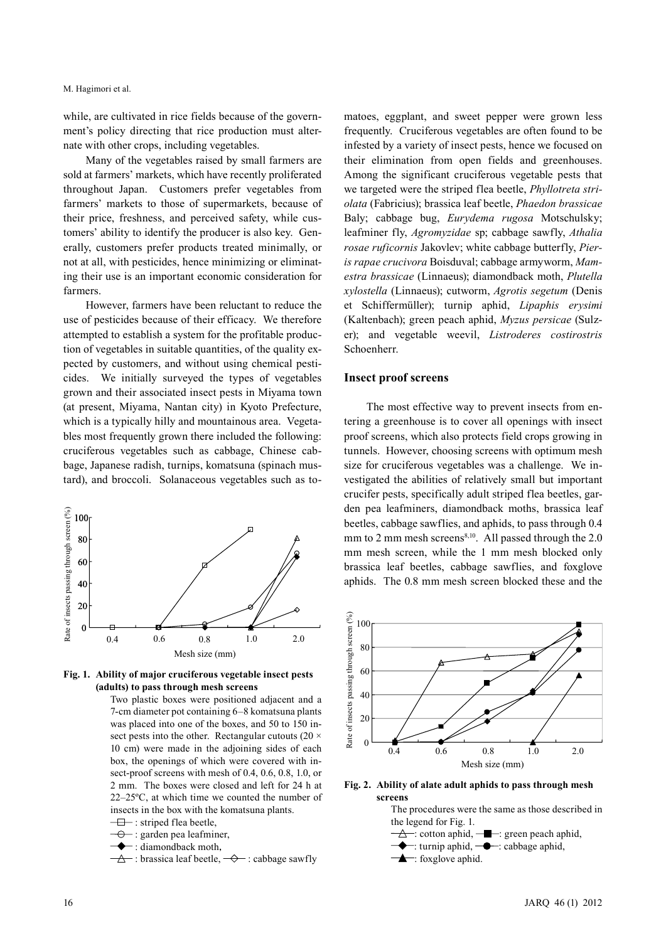while, are cultivated in rice fields because of the government's policy directing that rice production must alternate with other crops, including vegetables.

Many of the vegetables raised by small farmers are sold at farmers' markets, which have recently proliferated throughout Japan. Customers prefer vegetables from farmers' markets to those of supermarkets, because of their price, freshness, and perceived safety, while customers' ability to identify the producer is also key. Generally, customers prefer products treated minimally, or not at all, with pesticides, hence minimizing or eliminating their use is an important economic consideration for farmers.

However, farmers have been reluctant to reduce the use of pesticides because of their efficacy. We therefore attempted to establish a system for the profitable production of vegetables in suitable quantities, of the quality expected by customers, and without using chemical pesticides. We initially surveyed the types of vegetables grown and their associated insect pests in Miyama town (at present, Miyama, Nantan city) in Kyoto Prefecture, which is a typically hilly and mountainous area. Vegetables most frequently grown there included the following: cruciferous vegetables such as cabbage, Chinese cabbage, Japanese radish, turnips, komatsuna (spinach mustard), and broccoli. Solanaceous vegetables such as to-





Two plastic boxes were positioned adjacent and a 7-cm diameter pot containing 6–8 komatsuna plants was placed into one of the boxes, and 50 to 150 insect pests into the other. Rectangular cutouts ( $20 \times$ 10 cm) were made in the adjoining sides of each box, the openings of which were covered with insect-proof screens with mesh of 0.4, 0.6, 0.8, 1.0, or 2 mm. The boxes were closed and left for 24 h at 22–25ºC, at which time we counted the number of insects in the box with the komatsuna plants.

- $\overline{\Box}$ : striped flea beetle,
- $\overline{\Theta}$ : garden pea leafminer,
- : diamondback moth,
- $\overrightarrow{a}$ : brassica leaf beetle,  $\overrightarrow{ }$ : cabbage sawfly

matoes, eggplant, and sweet pepper were grown less frequently. Cruciferous vegetables are often found to be infested by a variety of insect pests, hence we focused on their elimination from open fields and greenhouses. Among the significant cruciferous vegetable pests that we targeted were the striped flea beetle, *Phyllotreta striolata* (Fabricius); brassica leaf beetle, *Phaedon brassicae* Baly; cabbage bug, *Eurydema rugosa* Motschulsky; leafminer fly, *Agromyzidae* sp; cabbage sawfly, *Athalia rosae ruficornis* Jakovlev; white cabbage butterfly, *Pieris rapae crucivora* Boisduval; cabbage armyworm, *Mamestra brassicae* (Linnaeus); diamondback moth, *Plutella xylostella* (Linnaeus); cutworm, *Agrotis segetum* (Denis et Schiffermüller); turnip aphid, *Lipaphis erysimi*  (Kaltenbach); green peach aphid, *Myzus persicae* (Sulzer); and vegetable weevil, *Listroderes costirostris*  Schoenherr.

#### **Insect proof screens**

The most effective way to prevent insects from entering a greenhouse is to cover all openings with insect proof screens, which also protects field crops growing in tunnels. However, choosing screens with optimum mesh size for cruciferous vegetables was a challenge. We investigated the abilities of relatively small but important crucifer pests, specifically adult striped flea beetles, garden pea leafminers, diamondback moths, brassica leaf beetles, cabbage sawflies, and aphids, to pass through 0.4 mm to 2 mm mesh screens $8,10$ . All passed through the 2.0 mm mesh screen, while the 1 mm mesh blocked only brassica leaf beetles, cabbage sawflies, and foxglove aphids. The 0.8 mm mesh screen blocked these and the



**Fig. 2. Ability of alate adult aphids to pass through mesh screens**

The procedures were the same as those described in the legend for Fig. 1.  $\rightarrow \rightarrow \rightarrow$ : cotton aphid,  $\rightarrow \rightarrow \rightarrow$ : green peach aphid, : turnip aphid,  $\rightarrow$ : cabbage aphid,  $\triangle$ : foxglove aphid.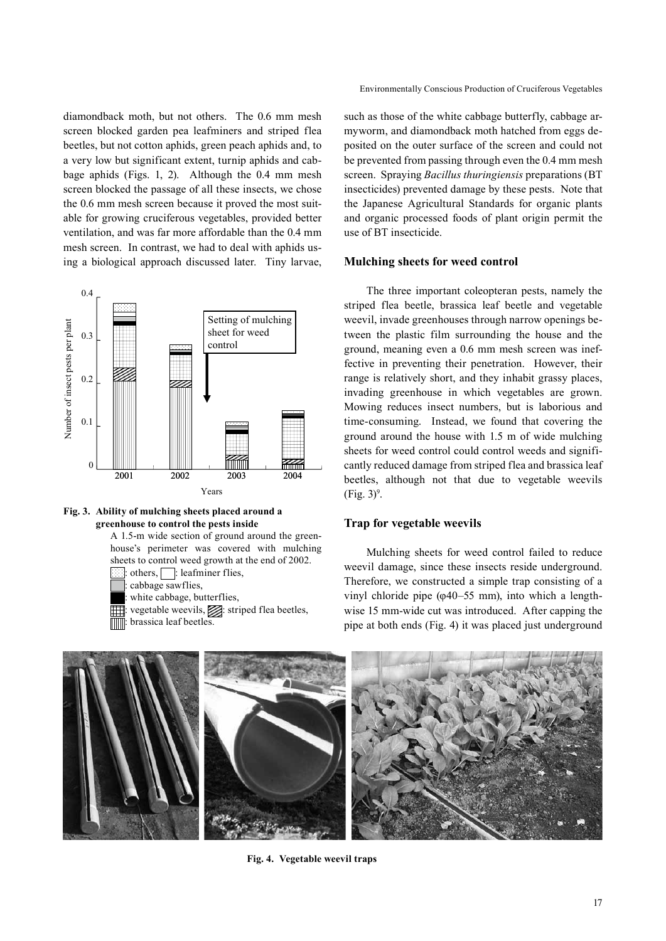Environmentally Conscious Production of Cruciferous Vegetables

diamondback moth, but not others. The 0.6 mm mesh screen blocked garden pea leafminers and striped flea beetles, but not cotton aphids, green peach aphids and, to a very low but significant extent, turnip aphids and cabbage aphids (Figs. 1, 2). Although the 0.4 mm mesh screen blocked the passage of all these insects, we chose the 0.6 mm mesh screen because it proved the most suitable for growing cruciferous vegetables, provided better ventilation, and was far more affordable than the 0.4 mm mesh screen. In contrast, we had to deal with aphids using a biological approach discussed later. Tiny larvae,





A 1.5-m wide section of ground around the greenhouse's perimeter was covered with mulching sheets to control weed growth at the end of 2002.

others,  $\Box$ : leafminer flies, cabbage sawflies,

: white cabbage, butterflies,

: vegetable weevils, striped flea beetles, brassica leaf beetles

such as those of the white cabbage butterfly, cabbage armyworm, and diamondback moth hatched from eggs deposited on the outer surface of the screen and could not be prevented from passing through even the 0.4 mm mesh screen. Spraying *Bacillus thuringiensis* preparations (BT insecticides) prevented damage by these pests. Note that the Japanese Agricultural Standards for organic plants and organic processed foods of plant origin permit the use of BT insecticide.

# **Mulching sheets for weed control**

The three important coleopteran pests, namely the striped flea beetle, brassica leaf beetle and vegetable weevil, invade greenhouses through narrow openings between the plastic film surrounding the house and the ground, meaning even a 0.6 mm mesh screen was ineffective in preventing their penetration. However, their range is relatively short, and they inhabit grassy places, invading greenhouse in which vegetables are grown. Mowing reduces insect numbers, but is laborious and time-consuming. Instead, we found that covering the ground around the house with 1.5 m of wide mulching sheets for weed control could control weeds and significantly reduced damage from striped flea and brassica leaf beetles, although not that due to vegetable weevils  $(Fig. 3)^9$ .

## **Trap for vegetable weevils**

Mulching sheets for weed control failed to reduce weevil damage, since these insects reside underground. Therefore, we constructed a simple trap consisting of a vinyl chloride pipe (φ40–55 mm), into which a lengthwise 15 mm-wide cut was introduced. After capping the pipe at both ends (Fig. 4) it was placed just underground



**Fig. 4. Vegetable weevil traps**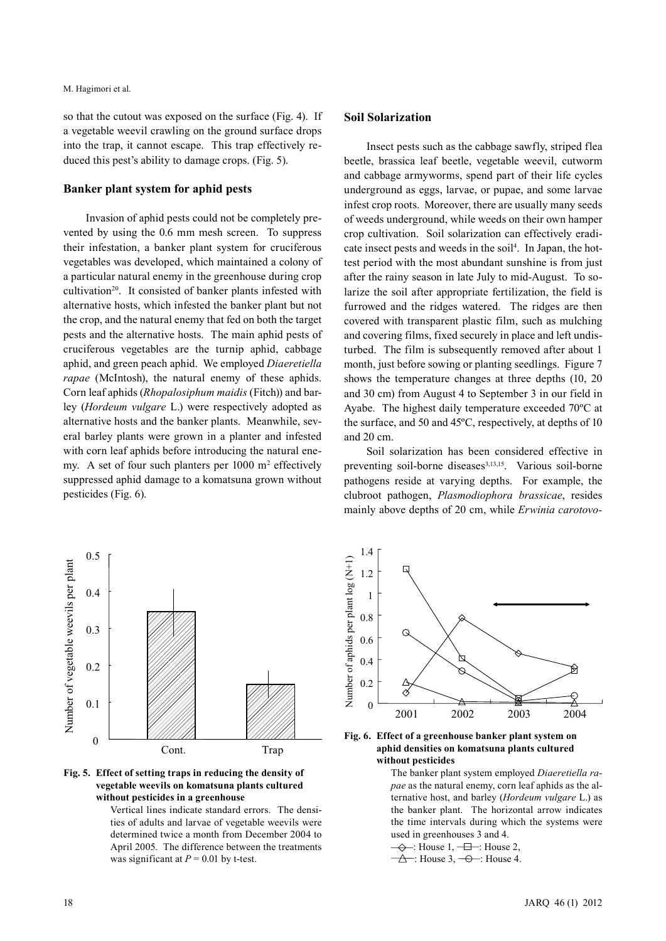so that the cutout was exposed on the surface (Fig. 4). If a vegetable weevil crawling on the ground surface drops into the trap, it cannot escape. This trap effectively reduced this pest's ability to damage crops. (Fig. 5).

## **Banker plant system for aphid pests**

Invasion of aphid pests could not be completely prevented by using the 0.6 mm mesh screen. To suppress their infestation, a banker plant system for cruciferous vegetables was developed, which maintained a colony of a particular natural enemy in the greenhouse during crop cultivation<sup>20</sup>. It consisted of banker plants infested with alternative hosts, which infested the banker plant but not the crop, and the natural enemy that fed on both the target pests and the alternative hosts. The main aphid pests of cruciferous vegetables are the turnip aphid, cabbage aphid, and green peach aphid. We employed *Diaeretiella rapae* (McIntosh), the natural enemy of these aphids. Corn leaf aphids (*Rhopalosiphum maidis* (Fitch)) and barley (*Hordeum vulgare* L.) were respectively adopted as alternative hosts and the banker plants. Meanwhile, several barley plants were grown in a planter and infested with corn leaf aphids before introducing the natural enemy. A set of four such planters per  $1000 \text{ m}^2$  effectively suppressed aphid damage to a komatsuna grown without pesticides (Fig. 6).

## **Soil Solarization**

Insect pests such as the cabbage sawfly, striped flea beetle, brassica leaf beetle, vegetable weevil, cutworm and cabbage armyworms, spend part of their life cycles underground as eggs, larvae, or pupae, and some larvae infest crop roots. Moreover, there are usually many seeds of weeds underground, while weeds on their own hamper crop cultivation. Soil solarization can effectively eradicate insect pests and weeds in the soil<sup>4</sup>. In Japan, the hottest period with the most abundant sunshine is from just after the rainy season in late July to mid-August. To solarize the soil after appropriate fertilization, the field is furrowed and the ridges watered. The ridges are then covered with transparent plastic film, such as mulching and covering films, fixed securely in place and left undisturbed. The film is subsequently removed after about 1 month, just before sowing or planting seedlings. Figure 7 shows the temperature changes at three depths (10, 20 and 30 cm) from August 4 to September 3 in our field in Ayabe. The highest daily temperature exceeded 70ºC at the surface, and 50 and 45ºC, respectively, at depths of 10 and 20 cm.

Soil solarization has been considered effective in preventing soil-borne diseases<sup>3,13,15</sup>. Various soil-borne pathogens reside at varying depths. For example, the clubroot pathogen, *Plasmodiophora brassicae*, resides mainly above depths of 20 cm, while *Erwinia carotovo-*





Vertical lines indicate standard errors. The densities of adults and larvae of vegetable weevils were determined twice a month from December 2004 to April 2005. The difference between the treatments was significant at  $P = 0.01$  by t-test.



**Fig. 6. Effect of a greenhouse banker plant system on aphid densities on komatsuna plants cultured without pesticides**

The banker plant system employed *Diaeretiella rapae* as the natural enemy, corn leaf aphids as the alternative host, and barley (*Hordeum vulgare* L.) as the banker plant. The horizontal arrow indicates the time intervals during which the systems were used in greenhouses 3 and 4.

- $\rightarrow$ : House 1,  $\rightarrow$ : House 2,
- $\overline{\Delta}$  : House 3,  $\overline{\rightarrow}$  : House 4.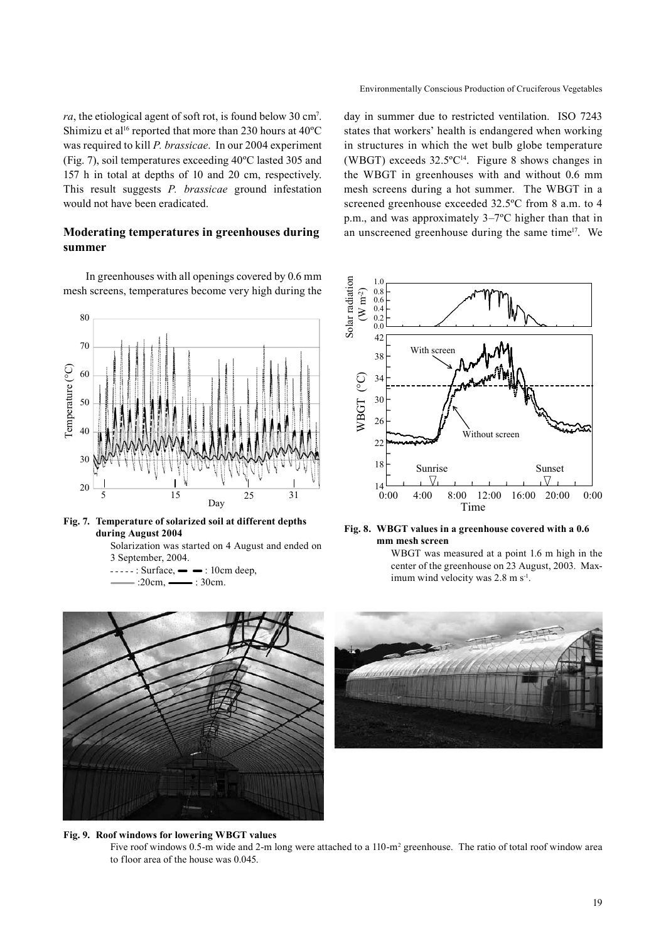Environmentally Conscious Production of Cruciferous Vegetables

*ra*, the etiological agent of soft rot, is found below 30 cm<sup>7</sup>. Shimizu et al<sup>16</sup> reported that more than 230 hours at  $40^{\circ}$ C was required to kill *P. brassicae*. In our 2004 experiment (Fig. 7), soil temperatures exceeding 40ºC lasted 305 and 157 h in total at depths of 10 and 20 cm, respectively. This result suggests *P. brassicae* ground infestation would not have been eradicated.

# **Moderating temperatures in greenhouses during summer**

In greenhouses with all openings covered by 0.6 mm mesh screens, temperatures become very high during the





Solarization was started on 4 August and ended on 3 September, 2004.

 $---: Surface, - \rightarrow : 10cm deep,$  $\rightarrow$ :20cm,  $\rightarrow$ :30cm.

day in summer due to restricted ventilation. ISO 7243 states that workers' health is endangered when working in structures in which the wet bulb globe temperature (WBGT) exceeds  $32.5^{\circ}C^{14}$ . Figure 8 shows changes in the WBGT in greenhouses with and without 0.6 mm mesh screens during a hot summer. The WBGT in a screened greenhouse exceeded 32.5ºC from 8 a.m. to 4 p.m., and was approximately 3–7ºC higher than that in an unscreened greenhouse during the same time17. We





WBGT was measured at a point 1.6 m high in the center of the greenhouse on 23 August, 2003. Maximum wind velocity was 2.8 m s<sup>-1</sup>.



#### **Fig. 9. Roof windows for lowering WBGT values** Five roof windows 0.5-m wide and 2-m long were attached to a 110-m<sup>2</sup> greenhouse. The ratio of total roof window area to floor area of the house was 0.045.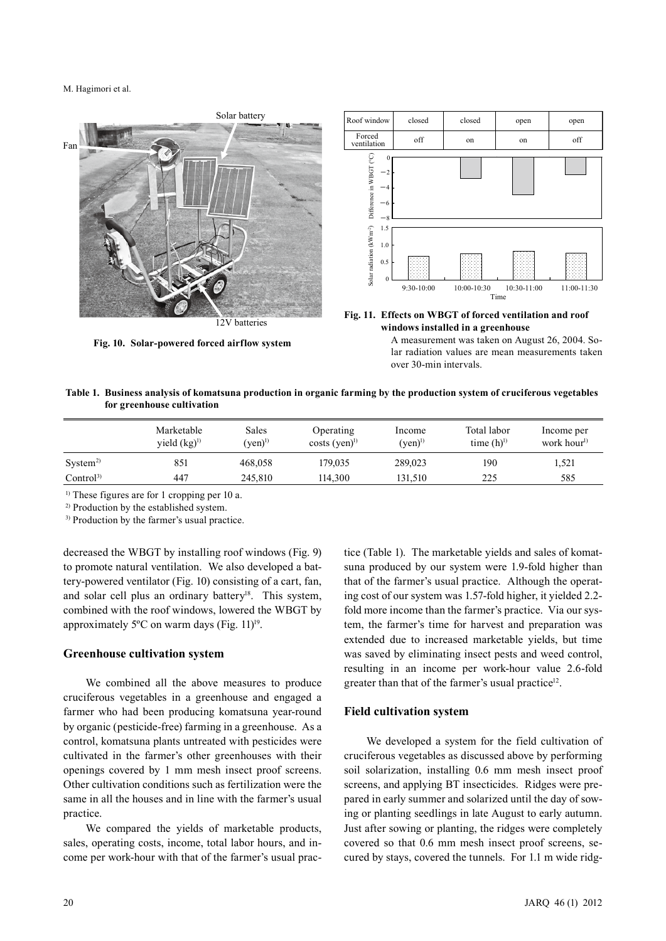M. Hagimori et al.



**Fig. 10. Solar-powered forced airflow system**



**Fig. 11. Effects on WBGT of forced ventilation and roof windows installed in a greenhouse**

A measurement was taken on August 26, 2004. Solar radiation values are mean measurements taken over 30-min intervals.

#### **Table 1. Business analysis of komatsuna production in organic farming by the production system of cruciferous vegetables for greenhouse cultivation**

|                      | Marketable<br>yield $(kg)^{1}$ | Sales<br>$(ven)^{1}$ | Operating<br>$costs$ (yen) <sup>1)</sup> | Income<br>$($ ven $)^{1)}$ | Total labor<br>time $(h)$ <sup>1)</sup> | Income per<br>work hour <sup>1)</sup> |
|----------------------|--------------------------------|----------------------|------------------------------------------|----------------------------|-----------------------------------------|---------------------------------------|
| System <sup>2</sup>  | 851                            | 468.058              | 179.035                                  | 289,023                    | 190                                     | 1,521                                 |
| Control <sup>3</sup> | 447                            | 245.810              | 114.300                                  | 131.510                    | 225                                     | 585                                   |

<sup>1)</sup> These figures are for 1 cropping per 10 a.

2) Production by the established system.

<sup>3)</sup> Production by the farmer's usual practice.

decreased the WBGT by installing roof windows (Fig. 9) to promote natural ventilation. We also developed a battery-powered ventilator (Fig. 10) consisting of a cart, fan, and solar cell plus an ordinary battery<sup>18</sup>. This system, combined with the roof windows, lowered the WBGT by approximately  $5^{\circ}$ C on warm days (Fig. 11)<sup>19</sup>.

#### **Greenhouse cultivation system**

We combined all the above measures to produce cruciferous vegetables in a greenhouse and engaged a farmer who had been producing komatsuna year-round by organic (pesticide-free) farming in a greenhouse. As a control, komatsuna plants untreated with pesticides were cultivated in the farmer's other greenhouses with their openings covered by 1 mm mesh insect proof screens. Other cultivation conditions such as fertilization were the same in all the houses and in line with the farmer's usual practice.

We compared the yields of marketable products, sales, operating costs, income, total labor hours, and income per work-hour with that of the farmer's usual practice (Table 1). The marketable yields and sales of komatsuna produced by our system were 1.9-fold higher than that of the farmer's usual practice. Although the operating cost of our system was 1.57-fold higher, it yielded 2.2 fold more income than the farmer's practice. Via our system, the farmer's time for harvest and preparation was extended due to increased marketable yields, but time was saved by eliminating insect pests and weed control, resulting in an income per work-hour value 2.6-fold greater than that of the farmer's usual practice<sup>12</sup>.

## **Field cultivation system**

We developed a system for the field cultivation of cruciferous vegetables as discussed above by performing soil solarization, installing 0.6 mm mesh insect proof screens, and applying BT insecticides. Ridges were prepared in early summer and solarized until the day of sowing or planting seedlings in late August to early autumn. Just after sowing or planting, the ridges were completely covered so that 0.6 mm mesh insect proof screens, secured by stays, covered the tunnels. For 1.1 m wide ridg-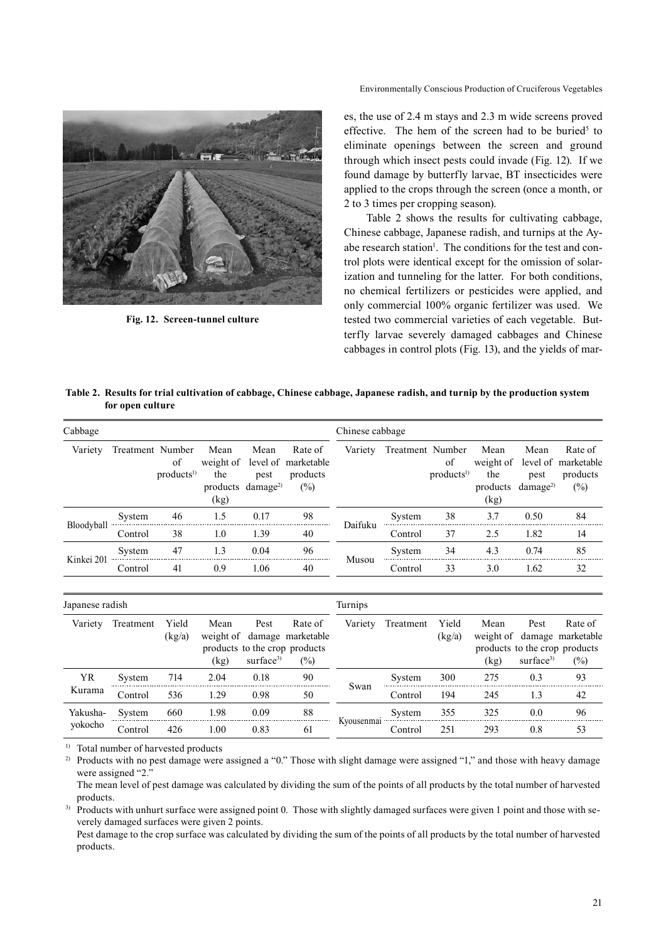

**Fig. 12. Screen-tunnel culture**

es, the use of 2.4 m stays and 2.3 m wide screens proved effective. The hem of the screen had to be buried<sup>5</sup> to eliminate openings between the screen and ground through which insect pests could invade (Fig. 12). If we found damage by butterfly larvae, BT insecticides were applied to the crops through the screen (once a month, or 2 to 3 times per cropping season).

Table 2 shows the results for cultivating cabbage, Chinese cabbage, Japanese radish, and turnips at the Ayabe research station<sup>1</sup>. The conditions for the test and control plots were identical except for the omission of solarization and tunneling for the latter. For both conditions, no chemical fertilizers or pesticides were applied, and only commercial 100% organic fertilizer was used. We tested two commercial varieties of each vegetable. Butterfly larvae severely damaged cabbages and Chinese cabbages in control plots (Fig. 13), and the yields of mar-

| Table 2. Results for trial cultivation of cabbage, Chinese cabbage, Japanese radish, and turnip by the production system |  |  |
|--------------------------------------------------------------------------------------------------------------------------|--|--|
| for open culture                                                                                                         |  |  |

| Cabbage    |                  |                             |                                                      |              | Chinese cabbage                                                       |         |                  |                             |                                                      |              |                                                                |
|------------|------------------|-----------------------------|------------------------------------------------------|--------------|-----------------------------------------------------------------------|---------|------------------|-----------------------------|------------------------------------------------------|--------------|----------------------------------------------------------------|
| Variety    | Treatment Number | of<br>products <sup>1</sup> | Mean<br>the<br>products damage <sup>2)</sup><br>(kg) | Mean<br>pest | Rate of<br>weight of level of marketable<br>products<br>$\frac{1}{2}$ | Variety | Treatment Number | of<br>products <sup>1</sup> | Mean<br>the<br>products damage <sup>2)</sup><br>(kg) | Mean<br>pest | Rate of<br>weight of level of marketable<br>products<br>$(\%)$ |
|            | System           | 46                          | 1.5                                                  | 0.17         | 98                                                                    | Daifuku | System           | 38                          | 37                                                   | 0.50         | 84                                                             |
| Bloodyball | Control          | 38                          | 1.0                                                  | 1.39         | 40                                                                    |         | Control          | 37                          | 2.5                                                  | 1.82         | 14                                                             |
| Kinkei 201 | System           | 47                          | 13                                                   | 0.04         | 96                                                                    | Musou   | System           | 34                          | 4.3                                                  | 0.74         | 85                                                             |
|            | Control          | 41                          | 0.9                                                  | 1.06         | 40                                                                    |         | Control          | 33                          | 3.0                                                  | 1.62         | 32                                                             |

| Japanese radish     |           |                 |              |                               | Turnips                                                                           |            |           |                 |                           |                               |                                                                         |
|---------------------|-----------|-----------------|--------------|-------------------------------|-----------------------------------------------------------------------------------|------------|-----------|-----------------|---------------------------|-------------------------------|-------------------------------------------------------------------------|
| Variety             | Treatment | Yield<br>(kg/a) | Mean<br>(kg) | Pest<br>surface <sup>3)</sup> | Rate of<br>weight of damage marketable<br>products to the crop products<br>$(\%)$ | Variety    | Treatment | Yield<br>(kg/a) | Mean<br>weight of<br>(kg) | Pest<br>surface <sup>3)</sup> | Rate of<br>damage marketable<br>products to the crop products<br>$(\%)$ |
| <b>YR</b><br>Kurama | System    | 714             | 2 O.A        | 0.18                          | 90                                                                                | Swan       | System    | 300             |                           | በ 3                           | 93                                                                      |
|                     | Control   | 536             | 29           | 0.98                          | 50                                                                                |            | Control   | 194             | 245                       | 1.3                           | 42                                                                      |
| Yakusha-<br>yokocho | System    | 660             | -98          | 0.09                          | 88                                                                                |            | System    | 355             | 325                       | 00                            | 96                                                                      |
|                     | .`ontrol  | 426             | 1.00         | 0.83                          | 61                                                                                | Kyousenmal | Control   | 251             | 293                       | 0.8                           | 53                                                                      |

<sup>1)</sup> Total number of harvested products

<sup>2)</sup> Products with no pest damage were assigned a "0." Those with slight damage were assigned "1," and those with heavy damage were assigned "2."

The mean level of pest damage was calculated by dividing the sum of the points of all products by the total number of harvested products.

<sup>3)</sup> Products with unhurt surface were assigned point 0. Those with slightly damaged surfaces were given 1 point and those with severely damaged surfaces were given 2 points.

Pest damage to the crop surface was calculated by dividing the sum of the points of all products by the total number of harvested products.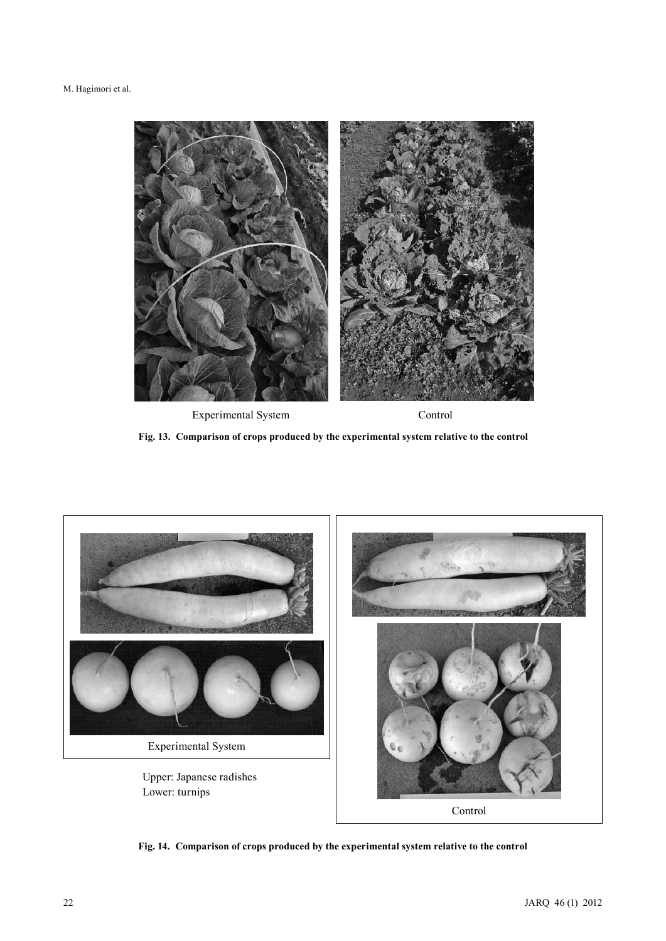

**Fig. 13. Comparison of crops produced by the experimental system relative to the control**



**Fig. 14. Comparison of crops produced by the experimental system relative to the control**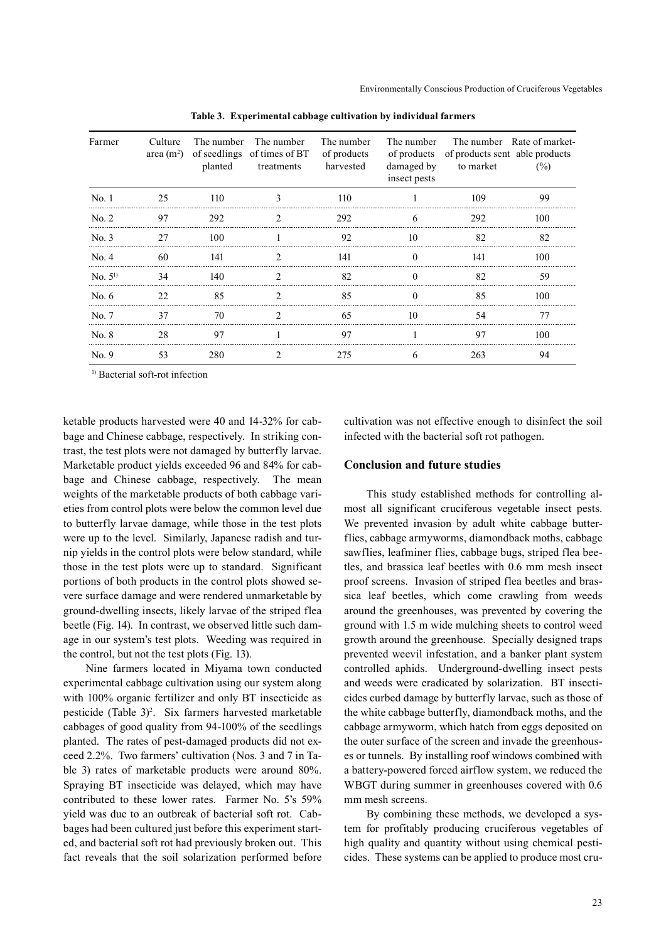| Farmer          | Culture<br>area $(m2)$ | The number<br>planted | The number<br>of seedlings of times of BT<br>treatments | The number<br>of products<br>harvested | The number<br>of products<br>damaged by<br>insect pests | of products sent able products<br>to market | The number Rate of market-<br>$(\%)$ |
|-----------------|------------------------|-----------------------|---------------------------------------------------------|----------------------------------------|---------------------------------------------------------|---------------------------------------------|--------------------------------------|
| No.1            | 25                     | 110                   | 3                                                       | 110                                    |                                                         | 109                                         | 99                                   |
| No. 2           | 97                     | 292                   | $\mathfrak{D}$                                          | 292                                    | 6                                                       | 292                                         | 100                                  |
| No. 3           | 27                     | 100                   |                                                         | 92                                     | 10                                                      | 82                                          | 82                                   |
| No. 4           | 60                     | 141                   | $\mathfrak{D}$                                          | 141                                    | $\Omega$                                                | 141                                         | 100                                  |
| $\rm No. 5^{1}$ | 34                     | 140                   | $\mathcal{D}$                                           | 82                                     | $\Omega$                                                | 82                                          | 59                                   |
| No. $6$         | 22.                    | 85                    | $\mathfrak{D}_{\mathfrak{p}}$                           | 85                                     | $\Omega$                                                | 85                                          | 100                                  |
| No. 7           | 37                     | 70                    | $\mathcal{D}$                                           | 65                                     | 10                                                      | 54                                          | 77                                   |
| No. 8           | 28                     | 97                    |                                                         | 97                                     |                                                         | 97                                          | 100                                  |
| No. 9           | 53                     | 280                   | 2                                                       | 275                                    | 6                                                       | 263                                         | 94                                   |

**Table 3. Experimental cabbage cultivation by individual farmers**

<sup>1)</sup> Bacterial soft-rot infection

ketable products harvested were 40 and 14-32% for cabbage and Chinese cabbage, respectively. In striking contrast, the test plots were not damaged by butterfly larvae. Marketable product yields exceeded 96 and 84% for cabbage and Chinese cabbage, respectively. The mean weights of the marketable products of both cabbage varieties from control plots were below the common level due to butterfly larvae damage, while those in the test plots were up to the level. Similarly, Japanese radish and turnip yields in the control plots were below standard, while those in the test plots were up to standard. Significant portions of both products in the control plots showed severe surface damage and were rendered unmarketable by ground-dwelling insects, likely larvae of the striped flea beetle (Fig. 14). In contrast, we observed little such damage in our system's test plots. Weeding was required in the control, but not the test plots (Fig. 13).

Nine farmers located in Miyama town conducted experimental cabbage cultivation using our system along with 100% organic fertilizer and only BT insecticide as pesticide (Table 3)<sup>2</sup>. Six farmers harvested marketable cabbages of good quality from 94-100% of the seedlings planted. The rates of pest-damaged products did not exceed 2.2%. Two farmers' cultivation (Nos. 3 and 7 in Table 3) rates of marketable products were around 80%. Spraying BT insecticide was delayed, which may have contributed to these lower rates. Farmer No. 5's 59% yield was due to an outbreak of bacterial soft rot. Cabbages had been cultured just before this experiment started, and bacterial soft rot had previously broken out. This fact reveals that the soil solarization performed before

cultivation was not effective enough to disinfect the soil infected with the bacterial soft rot pathogen.

#### **Conclusion and future studies**

This study established methods for controlling almost all significant cruciferous vegetable insect pests. We prevented invasion by adult white cabbage butterflies, cabbage armyworms, diamondback moths, cabbage sawflies, leafminer flies, cabbage bugs, striped flea beetles, and brassica leaf beetles with 0.6 mm mesh insect proof screens. Invasion of striped flea beetles and brassica leaf beetles, which come crawling from weeds around the greenhouses, was prevented by covering the ground with 1.5 m wide mulching sheets to control weed growth around the greenhouse. Specially designed traps prevented weevil infestation, and a banker plant system controlled aphids. Underground-dwelling insect pests and weeds were eradicated by solarization. BT insecticides curbed damage by butterfly larvae, such as those of the white cabbage butterfly, diamondback moths, and the cabbage armyworm, which hatch from eggs deposited on the outer surface of the screen and invade the greenhouses or tunnels. By installing roof windows combined with a battery-powered forced airflow system, we reduced the WBGT during summer in greenhouses covered with 0.6 mm mesh screens.

By combining these methods, we developed a system for profitably producing cruciferous vegetables of high quality and quantity without using chemical pesticides. These systems can be applied to produce most cru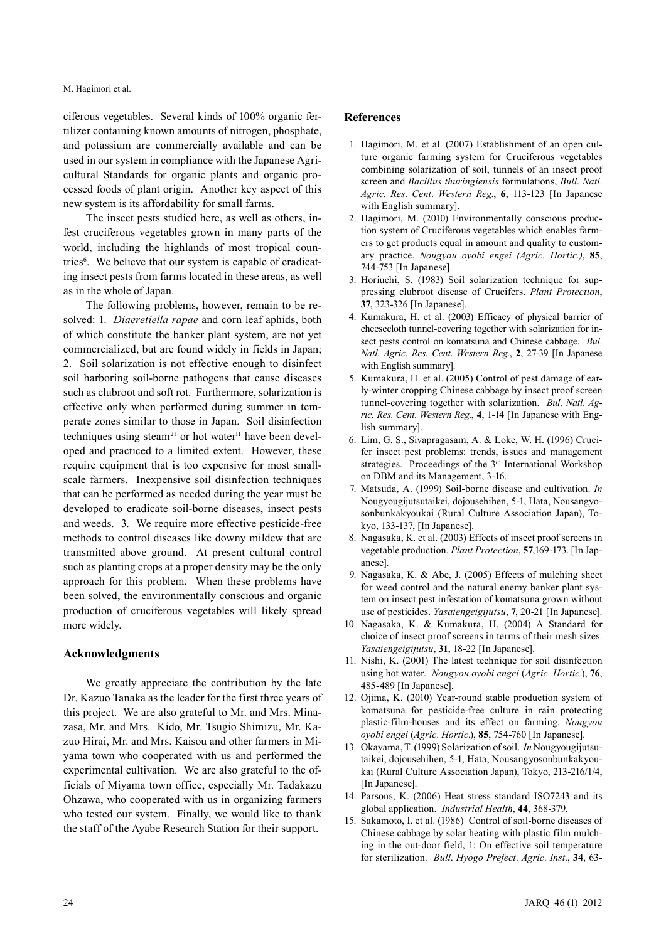ciferous vegetables. Several kinds of 100% organic fertilizer containing known amounts of nitrogen, phosphate, and potassium are commercially available and can be used in our system in compliance with the Japanese Agricultural Standards for organic plants and organic processed foods of plant origin. Another key aspect of this new system is its affordability for small farms.

The insect pests studied here, as well as others, infest cruciferous vegetables grown in many parts of the world, including the highlands of most tropical countries<sup>6</sup>. We believe that our system is capable of eradicating insect pests from farms located in these areas, as well as in the whole of Japan.

The following problems, however, remain to be resolved: 1. *Diaeretiella rapae* and corn leaf aphids, both of which constitute the banker plant system, are not yet commercialized, but are found widely in fields in Japan; 2. Soil solarization is not effective enough to disinfect soil harboring soil-borne pathogens that cause diseases such as clubroot and soft rot. Furthermore, solarization is effective only when performed during summer in temperate zones similar to those in Japan. Soil disinfection techniques using steam<sup>21</sup> or hot water<sup>11</sup> have been developed and practiced to a limited extent. However, these require equipment that is too expensive for most smallscale farmers. Inexpensive soil disinfection techniques that can be performed as needed during the year must be developed to eradicate soil-borne diseases, insect pests and weeds. 3. We require more effective pesticide-free methods to control diseases like downy mildew that are transmitted above ground. At present cultural control such as planting crops at a proper density may be the only approach for this problem. When these problems have been solved, the environmentally conscious and organic production of cruciferous vegetables will likely spread more widely.

#### **Acknowledgments**

We greatly appreciate the contribution by the late Dr. Kazuo Tanaka as the leader for the first three years of this project. We are also grateful to Mr. and Mrs. Minazasa, Mr. and Mrs. Kido, Mr. Tsugio Shimizu, Mr. Kazuo Hirai, Mr. and Mrs. Kaisou and other farmers in Miyama town who cooperated with us and performed the experimental cultivation. We are also grateful to the officials of Miyama town office, especially Mr. Tadakazu Ohzawa, who cooperated with us in organizing farmers who tested our system. Finally, we would like to thank the staff of the Ayabe Research Station for their support.

#### **References**

- 1. Hagimori, M. et al. (2007) Establishment of an open culture organic farming system for Cruciferous vegetables combining solarization of soil, tunnels of an insect proof screen and *Bacillus thuringiensis* formulations, *Bull*. *Natl*. *Agric*. *Res*. *Cent*. *Western Reg*., **6**, 113-123 [In Japanese with English summary].
- 2. Hagimori, M. (2010) Environmentally conscious production system of Cruciferous vegetables which enables farmers to get products equal in amount and quality to customary practice. *Nougyou oyobi engei (Agric. Hortic.)*, **85**, 744-753 [In Japanese].
- 3. Horiuchi, S. (1983) Soil solarization technique for suppressing clubroot disease of Crucifers. *Plant Protection*, **37**, 323-326 [In Japanese].
- 4. Kumakura, H. et al. (2003) Efficacy of physical barrier of cheesecloth tunnel-covering together with solarization for insect pests control on komatsuna and Chinese cabbage. *Bul*. *Natl*. *Agric*. *Res*. *Cent*. *Western Reg*., **2**, 27-39 [In Japanese with English summary].
- 5. Kumakura, H. et al. (2005) Control of pest damage of early-winter cropping Chinese cabbage by insect proof screen tunnel-covering together with solarization. *Bul*. *Natl*. *Agric*. *Res*. *Cent*. *Western Reg*., **4**, 1-14 [In Japanese with English summary].
- 6. Lim, G. S., Sivapragasam, A. & Loke, W. H. (1996) Crucifer insect pest problems: trends, issues and management strategies. Proceedings of the 3<sup>rd</sup> International Workshop on DBM and its Management, 3-16.
- 7. Matsuda, A. (1999) Soil-borne disease and cultivation. *In* Nougyougijutsutaikei, dojousehihen, 5-1, Hata, Nousangyosonbunkakyoukai (Rural Culture Association Japan), Tokyo, 133-137, [In Japanese].
- 8. Nagasaka, K. et al. (2003) Effects of insect proof screens in vegetable production. *Plant Protection*, **57**,169-173. [In Japanese].
- 9. Nagasaka, K. & Abe, J. (2005) Effects of mulching sheet for weed control and the natural enemy banker plant system on insect pest infestation of komatsuna grown without use of pesticides. *Yasaiengeigijutsu*, **7**, 20-21 [In Japanese].
- 10. Nagasaka, K. & Kumakura, H. (2004) A Standard for choice of insect proof screens in terms of their mesh sizes. *Yasaiengeigijutsu*, **31**, 18-22 [In Japanese].
- 11. Nishi, K. (2001) The latest technique for soil disinfection using hot water. *Nougyou oyobi engei* (*Agric*. *Hortic*.), **76**, 485-489 [In Japanese].
- 12. Ojima, K. (2010) Year-round stable production system of komatsuna for pesticide-free culture in rain protecting plastic-film-houses and its effect on farming. *Nougyou oyobi engei* (*Agric*. *Hortic*.), **85**, 754-760 [In Japanese].
- 13. Okayama, T. (1999) Solarization of soil. *In* Nougyougijutsutaikei, dojousehihen, 5-1, Hata, Nousangyosonbunkakyoukai (Rural Culture Association Japan), Tokyo, 213-216/1/4, [In Japanese].
- 14. Parsons, K. (2006) Heat stress standard ISO7243 and its global application. *Industrial Health*, **44**, 368-379.
- 15. Sakamoto, I. et al. (1986) Control of soil-borne diseases of Chinese cabbage by solar heating with plastic film mulching in the out-door field, 1: On effective soil temperature for sterilization. *Bull*. *Hyogo Prefect*. *Agric*. *Inst*., **34**, 63-